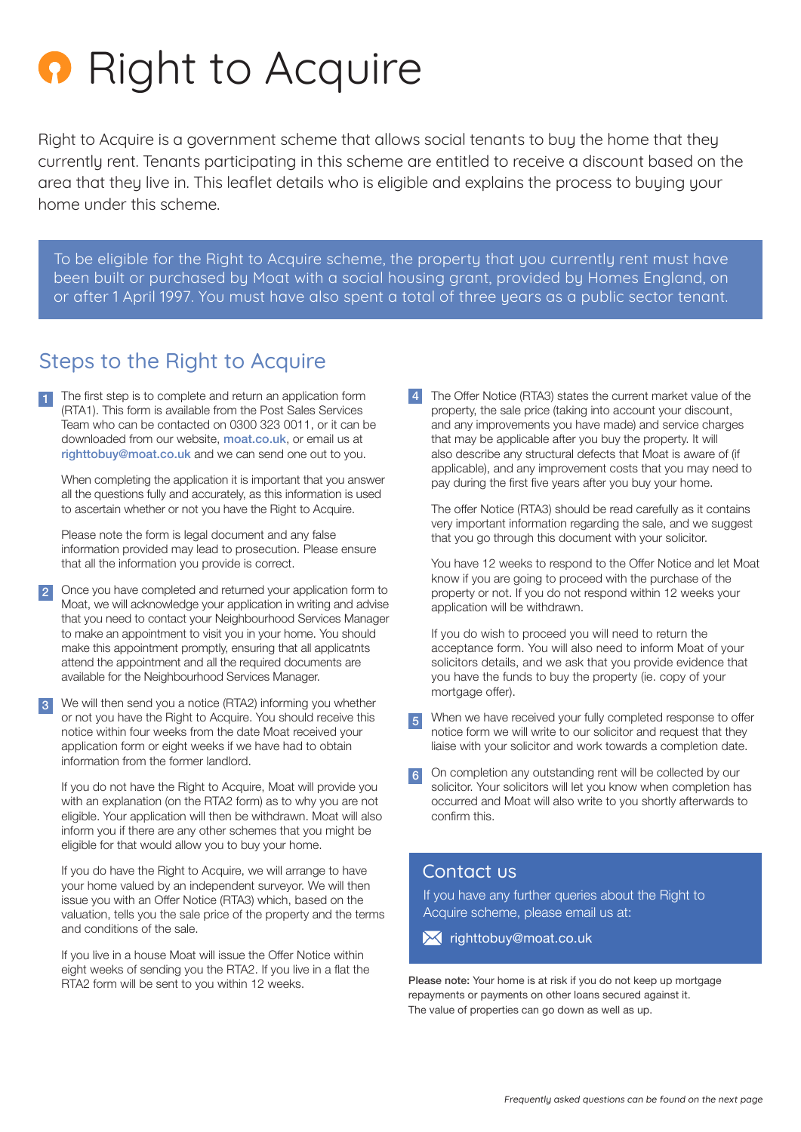# **Right to Acquire**

Right to Acquire is a government scheme that allows social tenants to buy the home that they currently rent. Tenants participating in this scheme are entitled to receive a discount based on the area that they live in. This leaflet details who is eligible and explains the process to buying your home under this scheme.

To be eligible for the Right to Acquire scheme, the property that you currently rent must have been built or purchased by Moat with a social housing grant, provided by Homes England, on or after 1 April 1997. You must have also spent a total of three years as a public sector tenant.

## Steps to the Right to Acquire

The first step is to complete and return an application form (RTA1). This form is available from the Post Sales Services Team who can be contacted on 0300 323 0011, or it can be downloaded from our website, [moat.co.uk](http://www.moat.co.uk), or email us at [righttobuy@moat.co.uk](mailto:righttobuy@moat.co.uk) and we can send one out to you.

When completing the application it is important that you answer all the questions fully and accurately, as this information is used to ascertain whether or not you have the Right to Acquire.

Please note the form is legal document and any false information provided may lead to prosecution. Please ensure that all the information you provide is correct.

2 Once you have completed and returned your application form to Moat, we will acknowledge your application in writing and advise that you need to contact your Neighbourhood Services Manager to make an appointment to visit you in your home. You should make this appointment promptly, ensuring that all applicatnts attend the appointment and all the required documents are available for the Neighbourhood Services Manager.

3 We will then send you a notice (RTA2) informing you whether or not you have the Right to Acquire. You should receive this notice within four weeks from the date Moat received your application form or eight weeks if we have had to obtain information from the former landlord.

If you do not have the Right to Acquire, Moat will provide you with an explanation (on the RTA2 form) as to why you are not eligible. Your application will then be withdrawn. Moat will also inform you if there are any other schemes that you might be eligible for that would allow you to buy your home.

If you do have the Right to Acquire, we will arrange to have your home valued by an independent surveyor. We will then issue you with an Offer Notice (RTA3) which, based on the valuation, tells you the sale price of the property and the terms and conditions of the sale.

If you live in a house Moat will issue the Offer Notice within eight weeks of sending you the RTA2. If you live in a flat the RTA2 form will be sent to you within 12 weeks.

4 The Offer Notice (RTA3) states the current market value of the property, the sale price (taking into account your discount, and any improvements you have made) and service charges that may be applicable after you buy the property. It will also describe any structural defects that Moat is aware of (if applicable), and any improvement costs that you may need to pay during the first five years after you buy your home.

The offer Notice (RTA3) should be read carefully as it contains very important information regarding the sale, and we suggest that you go through this document with your solicitor.

You have 12 weeks to respond to the Offer Notice and let Moat know if you are going to proceed with the purchase of the property or not. If you do not respond within 12 weeks your application will be withdrawn.

If you do wish to proceed you will need to return the acceptance form. You will also need to inform Moat of your solicitors details, and we ask that you provide evidence that you have the funds to buy the property (ie. copy of your mortgage offer).

- When we have received your fully completed response to offer notice form we will write to our solicitor and request that they liaise with your solicitor and work towards a completion date. 5
- On completion any outstanding rent will be collected by our 6 solicitor. Your solicitors will let you know when completion has occurred and Moat will also write to you shortly afterwards to confirm this.

### Contact us

If you have any further queries about the Right to Acquire scheme, please email us at:

**X** righttobuy[@moat.co.uk](mailto:righttobuy@moat.co.uk)

Please note: Your home is at risk if you do not keep up mortgage repayments or payments on other loans secured against it. The value of properties can go down as well as up.